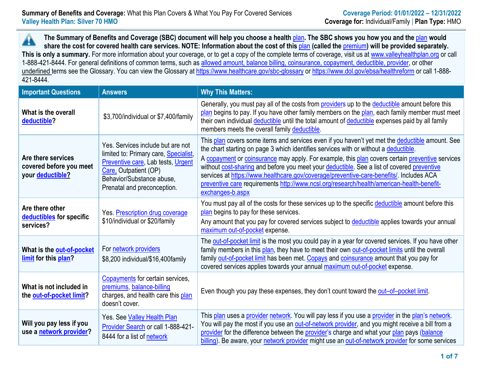**The Summary of Benefits and Coverage (SBC) document will help you choose a health** plan**. The SBC shows you how you and the** plan **would**  A share the cost for covered health care services. NOTE: Information about the cost of this plan (called the **premium**) will be provided separately. This is only a summary. For more information about your coverage, or to get a copy of the complete terms of coverage, visit us at [www.valleyhealthplan.org](http://www.valleyhealthplan.org/) or call 1-888-421-8444. For general definitions of common terms, such as allowed amount, balance billing, coinsurance, copayment, deductible, provider, or other underlined terms see the Glossary. You can view the Glossary a[t https://www.healthcare.gov/sbc-glossary](https://www.healthcare.gov/sbc-glossary) or<https://www.dol.gov/ebsa/healthreform> or call 1-888-421-8444.

| <b>Important Questions</b>                                                                                                    | <b>Answers</b>                                                                                                                                                                                        | <b>Why This Matters:</b>                                                                                                                                                                                                                                                                                                                                                                                                                                                                                                                                                                             |  |  |  |
|-------------------------------------------------------------------------------------------------------------------------------|-------------------------------------------------------------------------------------------------------------------------------------------------------------------------------------------------------|------------------------------------------------------------------------------------------------------------------------------------------------------------------------------------------------------------------------------------------------------------------------------------------------------------------------------------------------------------------------------------------------------------------------------------------------------------------------------------------------------------------------------------------------------------------------------------------------------|--|--|--|
| What is the overall<br>deductible?                                                                                            | \$3,700/individual or \$7,400/family                                                                                                                                                                  | Generally, you must pay all of the costs from providers up to the deductible amount before this<br>plan begins to pay. If you have other family members on the plan, each family member must meet<br>their own individual deductible until the total amount of deductible expenses paid by all family<br>members meets the overall family deductible.                                                                                                                                                                                                                                                |  |  |  |
| Are there services<br>covered before you meet<br>your deductible?                                                             | Yes. Services include but are not<br>limited to: Primary care, Specialist,<br>Preventive care, Lab tests, Urgent<br>Care, Outpatient (OP)<br>Behavior/Substance abuse,<br>Prenatal and preconception. | This plan covers some items and services even if you haven't yet met the deductible amount. See<br>the chart starting on page 3 which identifies services with or without a deductible.<br>A copayment or coinsurance may apply. For example, this plan covers certain preventive services<br>without cost-sharing and before you meet your deductible. See a list of covered preventive<br>services at https://www.healthcare.gov/coverage/preventive-care-benefits/. Includes ACA<br>preventive care requirements http://www.ncsl.org/research/health/american-health-benefit-<br>exchanges-b.aspx |  |  |  |
| Are there other<br>Yes. Prescription drug coverage<br>deductibles for specific<br>\$10/individual or \$20/family<br>services? |                                                                                                                                                                                                       | You must pay all of the costs for these services up to the specific deductible amount before this<br>plan begins to pay for these services.<br>Any amount that you pay for covered services subject to deductible applies towards your annual<br>maximum out-of-pocket expense.                                                                                                                                                                                                                                                                                                                      |  |  |  |
| What is the out-of-pocket<br>limit for this plan?                                                                             | For network providers<br>\$8,200 individual/\$16,400 family                                                                                                                                           | The out-of-pocket limit is the most you could pay in a year for covered services. If you have other<br>family members in this plan, they have to meet their own out-of-pocket limits until the overall<br>family out-of-pocket limit has been met. Copays and coinsurance amount that you pay for<br>covered services applies towards your annual maximum out-of-pocket expense.                                                                                                                                                                                                                     |  |  |  |
| What is not included in<br>the out-of-pocket limit?                                                                           | Copayments for certain services,<br>premiums, balance-billing<br>charges, and health care this plan<br>doesn't cover.                                                                                 | Even though you pay these expenses, they don't count toward the out-of-pocket limit.                                                                                                                                                                                                                                                                                                                                                                                                                                                                                                                 |  |  |  |
| Will you pay less if you<br>use a network provider?                                                                           | Yes. See Valley Health Plan<br>Provider Search or call 1-888-421-<br>8444 for a list of network                                                                                                       | This plan uses a provider network. You will pay less if you use a provider in the plan's network.<br>You will pay the most if you use an out-of-network provider, and you might receive a bill from a<br>provider for the difference between the provider's charge and what your plan pays (balance<br>billing). Be aware, your network provider might use an out-of-network provider for some services                                                                                                                                                                                              |  |  |  |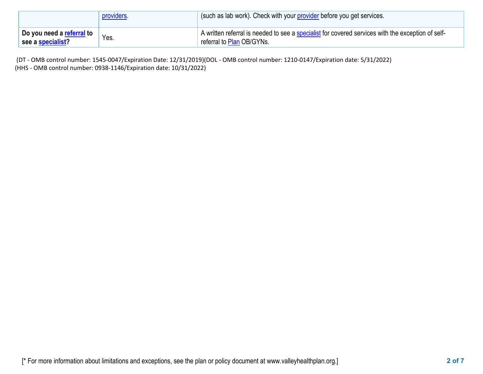|                                                       | providers. | (such as lab work). Check with your provider before you get services.                                                          |  |  |  |  |
|-------------------------------------------------------|------------|--------------------------------------------------------------------------------------------------------------------------------|--|--|--|--|
| Do you need a <u>referral</u> to<br>see a specialist? | Yes.       | A written referral is needed to see a specialist for covered services with the exception of self-<br>referral to Plan OB/GYNs. |  |  |  |  |

(DT - OMB control number: 1545-0047/Expiration Date: 12/31/2019)(DOL - OMB control number: 1210-0147/Expiration date: 5/31/2022) (HHS - OMB control number: 0938-1146/Expiration date: 10/31/2022)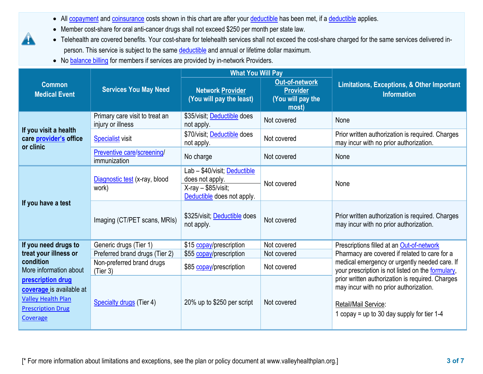- All copayment and coinsurance costs shown in this chart are after your deductible has been met, if a deductible applies.
- Member cost-share for oral anti-cancer drugs shall not exceed \$250 per month per state law.
- Telehealth are covered benefits. Your cost-share for telehealth services shall not exceed the cost-share charged for the same services delivered inperson. This service is subject to the same deductible and annual or lifetime dollar maximum.
- No balance billing for members if services are provided by in-network Providers.

|                                                                                                                    |                                                     | <b>What You Will Pay</b>                                                                              |                                                                 |                                                                                                                                                                    |  |
|--------------------------------------------------------------------------------------------------------------------|-----------------------------------------------------|-------------------------------------------------------------------------------------------------------|-----------------------------------------------------------------|--------------------------------------------------------------------------------------------------------------------------------------------------------------------|--|
| <b>Common</b><br><b>Medical Event</b>                                                                              | <b>Services You May Need</b>                        | <b>Network Provider</b><br>(You will pay the least)                                                   | Out-of-network<br><b>Provider</b><br>(You will pay the<br>most) | <b>Limitations, Exceptions, &amp; Other Important</b><br><b>Information</b>                                                                                        |  |
|                                                                                                                    | Primary care visit to treat an<br>injury or illness | \$35/visit; Deductible does<br>not apply.                                                             | Not covered                                                     | None                                                                                                                                                               |  |
| If you visit a health<br>care provider's office<br>or clinic                                                       | <b>Specialist</b> visit                             | \$70/visit; Deductible does<br>not apply.                                                             | Not covered                                                     | Prior written authorization is required. Charges<br>may incur with no prior authorization.                                                                         |  |
|                                                                                                                    | Preventive care/screening/<br>immunization          | No charge                                                                                             | Not covered                                                     | None                                                                                                                                                               |  |
|                                                                                                                    | Diagnostic test (x-ray, blood<br>work)              | Lab - \$40/visit; Deductible<br>does not apply.<br>$X-ray - $85/visit;$<br>Deductible does not apply. | Not covered                                                     | None                                                                                                                                                               |  |
| If you have a test                                                                                                 | Imaging (CT/PET scans, MRIs)                        | \$325/visit; Deductible does<br>not apply.                                                            | Not covered                                                     | Prior written authorization is required. Charges<br>may incur with no prior authorization.                                                                         |  |
| If you need drugs to                                                                                               | Generic drugs (Tier 1)                              | \$15 copay/prescription                                                                               | Not covered                                                     | Prescriptions filled at an Out-of-network                                                                                                                          |  |
| treat your illness or                                                                                              | Preferred brand drugs (Tier 2)                      | \$55 copay/prescription                                                                               | Not covered                                                     | Pharmacy are covered if related to care for a                                                                                                                      |  |
| condition<br>More information about                                                                                | Non-preferred brand drugs<br>(Tier 3)               | \$85 copay/prescription                                                                               | Not covered                                                     | medical emergency or urgently needed care. If<br>your prescription is not listed on the formulary,                                                                 |  |
| prescription drug<br>coverage is available at<br><b>Valley Health Plan</b><br><b>Prescription Drug</b><br>Coverage | <b>Specialty drugs</b> (Tier 4)                     | 20% up to \$250 per script                                                                            | Not covered                                                     | prior written authorization is required. Charges<br>may incur with no prior authorization.<br>Retail/Mail Service:<br>1 copay = up to 30 day supply for tier $1-4$ |  |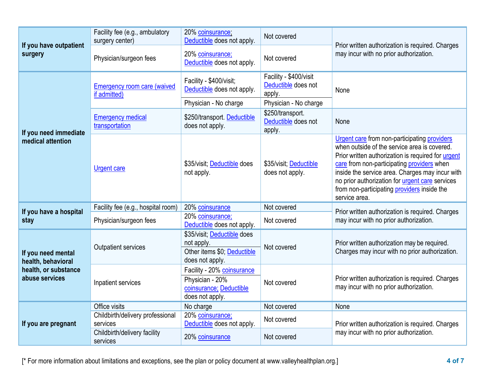| If you have outpatient<br>surgery        | Facility fee (e.g., ambulatory<br>surgery center)  | 20% coinsurance;<br>Deductible does not apply.                                              | Not covered                                             |                                                                                                                                                                                                                                                                                                                                                                               |
|------------------------------------------|----------------------------------------------------|---------------------------------------------------------------------------------------------|---------------------------------------------------------|-------------------------------------------------------------------------------------------------------------------------------------------------------------------------------------------------------------------------------------------------------------------------------------------------------------------------------------------------------------------------------|
|                                          | Physician/surgeon fees                             | 20% coinsurance;<br>Deductible does not apply.                                              | Not covered                                             | Prior written authorization is required. Charges<br>may incur with no prior authorization.                                                                                                                                                                                                                                                                                    |
|                                          | <b>Emergency room care (waived</b><br>if admitted) | Facility - \$400/visit;<br>Deductible does not apply.                                       | Facility - \$400/visit<br>Deductible does not<br>apply. | None                                                                                                                                                                                                                                                                                                                                                                          |
|                                          |                                                    | Physician - No charge                                                                       | Physician - No charge                                   |                                                                                                                                                                                                                                                                                                                                                                               |
| If you need immediate                    | <b>Emergency medical</b><br>transportation         | \$250/transport. Deductible<br>does not apply.                                              | \$250/transport.<br>Deductible does not<br>apply.       | None                                                                                                                                                                                                                                                                                                                                                                          |
| medical attention                        | <b>Urgent care</b>                                 | \$35/visit; Deductible does<br>not apply.                                                   | \$35/visit; Deductible<br>does not apply.               | Urgent care from non-participating providers<br>when outside of the service area is covered.<br>Prior written authorization is required for urgent<br>care from non-participating providers when<br>inside the service area. Charges may incur with<br>no prior authorization for <i>urgent care</i> services<br>from non-participating providers inside the<br>service area. |
|                                          | Facility fee (e.g., hospital room)                 | 20% coinsurance                                                                             | Not covered                                             |                                                                                                                                                                                                                                                                                                                                                                               |
| If you have a hospital<br>stay           | Physician/surgeon fees                             | 20% coinsurance;<br>Deductible does not apply.                                              | Not covered                                             | Prior written authorization is required. Charges<br>may incur with no prior authorization.                                                                                                                                                                                                                                                                                    |
| If you need mental<br>health, behavioral | <b>Outpatient services</b>                         | \$35/visit; Deductible does<br>not apply.<br>Other items \$0; Deductible<br>does not apply. | Not covered                                             | Prior written authorization may be required.<br>Charges may incur with no prior authorization.                                                                                                                                                                                                                                                                                |
| health, or substance<br>abuse services   | Inpatient services                                 | Facility - 20% coinsurance<br>Physician - 20%<br>coinsurance; Deductible<br>does not apply. | Not covered                                             | Prior written authorization is required. Charges<br>may incur with no prior authorization.                                                                                                                                                                                                                                                                                    |
|                                          | Office visits                                      | No charge                                                                                   | Not covered                                             | None                                                                                                                                                                                                                                                                                                                                                                          |
| If you are pregnant                      | Childbirth/delivery professional<br>services       | 20% coinsurance;<br>Deductible does not apply.                                              | Not covered                                             | Prior written authorization is required. Charges                                                                                                                                                                                                                                                                                                                              |
|                                          | Childbirth/delivery facility<br>services           | 20% coinsurance                                                                             | Not covered                                             | may incur with no prior authorization.                                                                                                                                                                                                                                                                                                                                        |

[\* For more information about limitations and exceptions, see the plan or policy document at www.valleyhealthplan.org.] **4 of 7**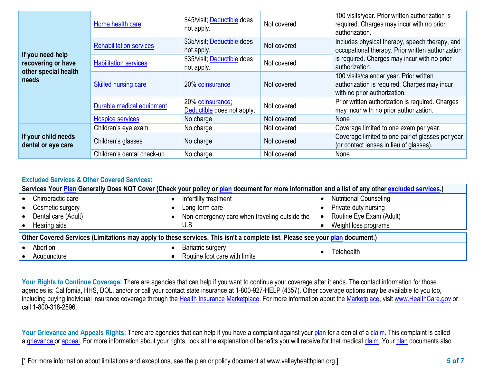|                                                                | Home health care               | \$45/visit; Deductible does<br>not apply.      | Not covered | 100 visits/year. Prior written authorization is<br>required. Charges may incur with no prior<br>authorization.          |
|----------------------------------------------------------------|--------------------------------|------------------------------------------------|-------------|-------------------------------------------------------------------------------------------------------------------------|
|                                                                | <b>Rehabilitation services</b> | \$35/visit; Deductible does<br>not apply.      | Not covered | Includes physical therapy, speech therapy, and<br>occupational therapy. Prior written authorization                     |
| If you need help<br>recovering or have<br>other special health | <b>Habilitation services</b>   | \$35/visit; Deductible does<br>not apply.      | Not covered | is required. Charges may incur with no prior<br>authorization.                                                          |
| needs                                                          | <b>Skilled nursing care</b>    | 20% coinsurance                                | Not covered | 100 visits/calendar year. Prior written<br>authorization is required. Charges may incur<br>with no prior authorization. |
|                                                                | Durable medical equipment      | 20% coinsurance;<br>Deductible does not apply. | Not covered | Prior written authorization is required. Charges<br>may incur with no prior authorization.                              |
|                                                                | <b>Hospice services</b>        | No charge                                      | Not covered | None                                                                                                                    |
|                                                                | Children's eye exam            | No charge                                      | Not covered | Coverage limited to one exam per year.                                                                                  |
| If your child needs<br>dental or eye care                      | Children's glasses             | No charge                                      | Not covered | Coverage limited to one pair of glasses per year<br>(or contact lenses in lieu of glasses).                             |
|                                                                | Children's dental check-up     | No charge                                      | Not covered | None                                                                                                                    |

## **Excluded Services & Other Covered Services:**

| Services Your Plan Generally Does NOT Cover (Check your policy or plan document for more information and a list of any other excluded services.) |                                  |           |                                               |           |                               |  |
|--------------------------------------------------------------------------------------------------------------------------------------------------|----------------------------------|-----------|-----------------------------------------------|-----------|-------------------------------|--|
|                                                                                                                                                  | Chiropractic care                |           | Infertility treatment                         |           | <b>Nutritional Counseling</b> |  |
|                                                                                                                                                  | Cosmetic surgery                 | $\bullet$ | Long-term care                                |           | Private-duty nursing          |  |
|                                                                                                                                                  | Dental care (Adult)<br>$\bullet$ |           | Non-emergency care when traveling outside the | $\bullet$ | Routine Eye Exam (Adult)      |  |
|                                                                                                                                                  | Hearing aids                     |           | U.S.                                          |           | Weight loss programs          |  |
| Other Covered Services (Limitations may apply to these services. This isn't a complete list. Please see your plan document.)                     |                                  |           |                                               |           |                               |  |
|                                                                                                                                                  | Abortion<br>$\bullet$            |           | <b>Bariatric surgery</b>                      |           | Telehealth                    |  |
|                                                                                                                                                  | Acupuncture                      |           | Routine foot care with limits                 |           |                               |  |

Your Rights to Continue Coverage: There are agencies that can help if you want to continue your coverage after it ends. The contact information for those agencies is: California, HHS, DOL, and/or or call your contact state insurance at 1-800-927-HELP (4357). Other coverage options may be available to you too, including buying individual insurance coverage through the Health Insurance Marketplace. For more information about the Marketplace, visit www.HealthCare.gov or call 1-800-318-2596.

Your Grievance and Appeals Rights: There are agencies that can help if you have a complaint against your plan for a denial of a claim. This complaint is called a grievance or appeal. For more information about your rights, look at the explanation of benefits you will receive for that medical claim. Your plan documents also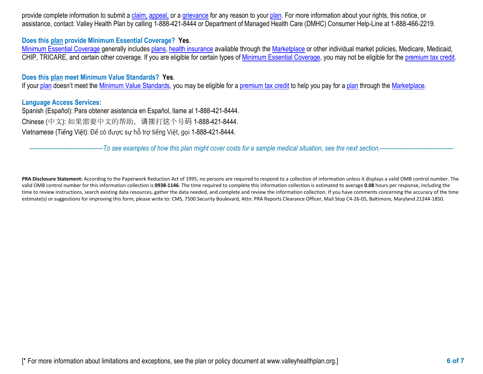provide complete information to submit a claim, appeal, or a grievance for any reason to your plan. For more information about your rights, this notice, or assistance, contact: Valley Health Plan by calling 1-888-421-8444 or Department of Managed Health Care (DMHC) Consumer Help-Line at 1-888-466-2219.

## **Does this plan provide Minimum Essential Coverage? Yes**.

Minimum Essential Coverage generally includes plans, health insurance available through the Marketplace or other individual market policies, Medicare, Medicaid, CHIP, TRICARE, and certain other coverage. If you are eligible for certain types of Minimum Essential Coverage, you may not be eligible for the premium tax credit.

## **Does this plan meet Minimum Value Standards? Yes**.

If your plan doesn't meet the Minimum Value Standards, you may be eligible for a premium tax credit to help you pay for a plan through the Marketplace.

## **Language Access Services:**

Spanish (Español): Para obtener asistencia en Español, llame al 1-888-421-8444. Chinese (中文): 如果需要中文的帮助,请拨打这个号码 1-888-421-8444. Vietnamese (Tiếng Việt): Để có được sự hỗ trợ tiếng Việt, gọi 1-888-421-8444.

––––––––––––––––––––––*To see examples of how this plan might cover costs for a sample medical situation, see the next section.–––––––––––*–––––––––––

PRA Disclosure Statement: According to the Paperwork Reduction Act of 1995, no persons are required to respond to a collection of information unless it displays a valid OMB control number. The valid OMB control number for this information collection is **0938-1146**. The time required to complete this information collection is estimated to average **0.08** hours per response, including the time to review instructions, search existing data resources, gather the data needed, and complete and review the information collection. If you have comments concerning the accuracy of the time estimate(s) or suggestions for improving this form, please write to: CMS, 7500 Security Boulevard, Attn: PRA Reports Clearance Officer, Mail Stop C4-26-05, Baltimore, Maryland 21244-1850.